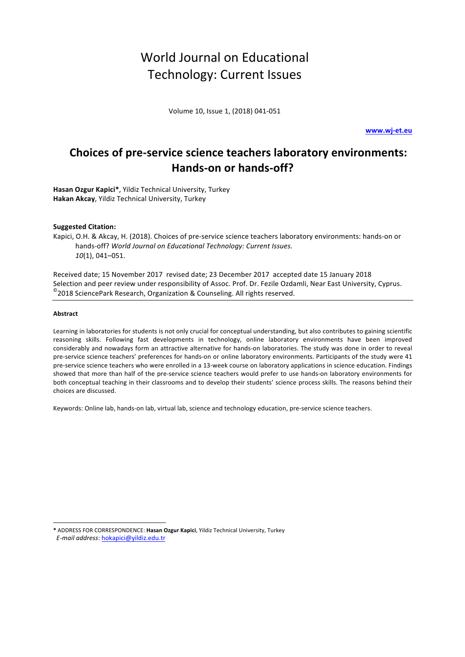# World Journal on Educational Technology: Current Issues

Volume 10, Issue 1, (2018) 041-051

**www.wj-et.eu**

# **Choices of pre-service science teachers laboratory environments:** Hands-on or hands-off?

**Hasan Ozgur Kapici\***, Yildiz Technical University, Turkey **Hakan Akcay**, Yildiz Technical University, Turkey

#### **Suggested Citation:**

Kapici, O.H. & Akcay, H. (2018). Choices of pre-service science teachers laboratory environments: hands-on or hands-off? World Journal on Educational Technology: Current Issues. *10*(1), 041–051.

Received date; 15 November 2017 revised date; 23 December 2017 accepted date 15 January 2018 Selection and peer review under responsibility of Assoc. Prof. Dr. Fezile Ozdamli, Near East University, Cyprus.  $^{\circ}$ 2018 SciencePark Research, Organization & Counseling. All rights reserved.

#### **Abstract**

l

Learning in laboratories for students is not only crucial for conceptual understanding, but also contributes to gaining scientific reasoning skills. Following fast developments in technology, online laboratory environments have been improved considerably and nowadays form an attractive alternative for hands-on laboratories. The study was done in order to reveal pre-service science teachers' preferences for hands-on or online laboratory environments. Participants of the study were 41 pre-service science teachers who were enrolled in a 13-week course on laboratory applications in science education. Findings showed that more than half of the pre-service science teachers would prefer to use hands-on laboratory environments for both conceptual teaching in their classrooms and to develop their students' science process skills. The reasons behind their choices are discussed.

Keywords: Online lab, hands-on lab, virtual lab, science and technology education, pre-service science teachers.

**\*** ADDRESS FOR CORRESPONDENCE: **Hasan Ozgur Kapici**, Yildiz Technical University, Turkey  *E-mail address*: hokapici@yildiz.edu.tr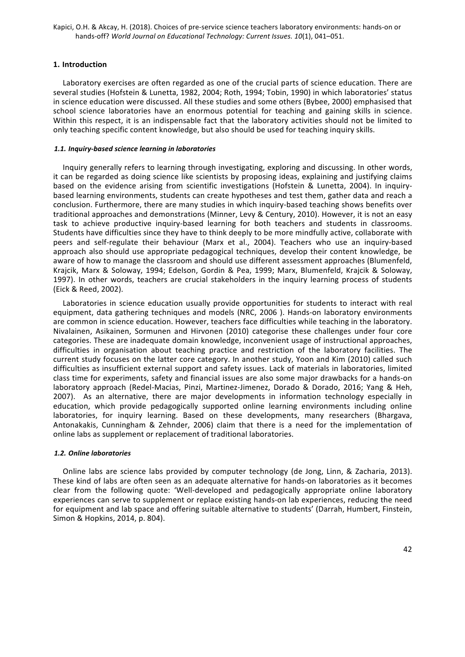# **1. Introduction**

Laboratory exercises are often regarded as one of the crucial parts of science education. There are several studies (Hofstein & Lunetta, 1982, 2004; Roth, 1994; Tobin, 1990) in which laboratories' status in science education were discussed. All these studies and some others (Bybee, 2000) emphasised that school science laboratories have an enormous potential for teaching and gaining skills in science. Within this respect, it is an indispensable fact that the laboratory activities should not be limited to only teaching specific content knowledge, but also should be used for teaching inquiry skills.

# *1.1. Inquiry-based science learning in laboratories*

Inquiry generally refers to learning through investigating, exploring and discussing. In other words, it can be regarded as doing science like scientists by proposing ideas, explaining and justifying claims based on the evidence arising from scientific investigations (Hofstein & Lunetta, 2004). In inquirybased learning environments, students can create hypotheses and test them, gather data and reach a conclusion. Furthermore, there are many studies in which inquiry-based teaching shows benefits over traditional approaches and demonstrations (Minner, Levy & Century, 2010). However, it is not an easy task to achieve productive inquiry-based learning for both teachers and students in classrooms. Students have difficulties since they have to think deeply to be more mindfully active, collaborate with peers and self-regulate their behaviour (Marx et al., 2004). Teachers who use an inquiry-based approach also should use appropriate pedagogical techniques, develop their content knowledge, be aware of how to manage the classroom and should use different assessment approaches (Blumenfeld, Krajcik, Marx & Soloway, 1994; Edelson, Gordin & Pea, 1999; Marx, Blumenfeld, Krajcik & Soloway, 1997). In other words, teachers are crucial stakeholders in the inquiry learning process of students (Eick & Reed, 2002).

Laboratories in science education usually provide opportunities for students to interact with real equipment, data gathering techniques and models (NRC, 2006). Hands-on laboratory environments are common in science education. However, teachers face difficulties while teaching in the laboratory. Nivalainen, Asikainen, Sormunen and Hirvonen (2010) categorise these challenges under four core categories. These are inadequate domain knowledge, inconvenient usage of instructional approaches, difficulties in organisation about teaching practice and restriction of the laboratory facilities. The current study focuses on the latter core category. In another study, Yoon and Kim (2010) called such difficulties as insufficient external support and safety issues. Lack of materials in laboratories, limited class time for experiments, safety and financial issues are also some major drawbacks for a hands-on laboratory approach (Redel-Macias, Pinzi, Martinez-Jimenez, Dorado & Dorado, 2016; Yang & Heh, 2007). As an alternative, there are major developments in information technology especially in education, which provide pedagogically supported online learning environments including online laboratories, for inquiry learning. Based on these developments, many researchers (Bhargava, Antonakakis, Cunningham & Zehnder, 2006) claim that there is a need for the implementation of online labs as supplement or replacement of traditional laboratories.

# *1.2. Online laboratories*

Online labs are science labs provided by computer technology (de Jong, Linn, & Zacharia, 2013). These kind of labs are often seen as an adequate alternative for hands-on laboratories as it becomes clear from the following quote: 'Well-developed and pedagogically appropriate online laboratory experiences can serve to supplement or replace existing hands-on lab experiences, reducing the need for equipment and lab space and offering suitable alternative to students' (Darrah, Humbert, Finstein, Simon & Hopkins, 2014, p. 804).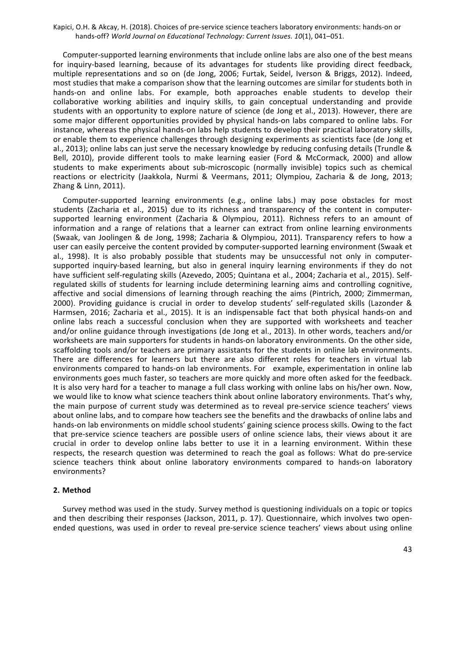Computer-supported learning environments that include online labs are also one of the best means for inquiry-based learning, because of its advantages for students like providing direct feedback, multiple representations and so on (de Jong, 2006; Furtak, Seidel, Iverson & Briggs, 2012). Indeed, most studies that make a comparison show that the learning outcomes are similar for students both in hands-on and online labs. For example, both approaches enable students to develop their collaborative working abilities and inquiry skills, to gain conceptual understanding and provide students with an opportunity to explore nature of science (de Jong et al., 2013). However, there are some major different opportunities provided by physical hands-on labs compared to online labs. For instance, whereas the physical hands-on labs help students to develop their practical laboratory skills, or enable them to experience challenges through designing experiments as scientists face (de Jong et al., 2013); online labs can just serve the necessary knowledge by reducing confusing details (Trundle & Bell, 2010), provide different tools to make learning easier (Ford & McCormack, 2000) and allow students to make experiments about sub-microscopic (normally invisible) topics such as chemical reactions or electricity (Jaakkola, Nurmi & Veermans, 2011; Olympiou, Zacharia & de Jong, 2013; Zhang & Linn, 2011).

Computer-supported learning environments (e.g., online labs.) may pose obstacles for most students (Zacharia et al., 2015) due to its richness and transparency of the content in computersupported learning environment (Zacharia & Olympiou, 2011). Richness refers to an amount of information and a range of relations that a learner can extract from online learning environments (Swaak, van Joolingen & de Jong, 1998; Zacharia & Olympiou, 2011). Transparency refers to how a user can easily perceive the content provided by computer-supported learning environment (Swaak et al., 1998). It is also probably possible that students may be unsuccessful not only in computersupported inquiry-based learning, but also in general inquiry learning environments if they do not have sufficient self-regulating skills (Azevedo, 2005; Quintana et al., 2004; Zacharia et al., 2015). Selfregulated skills of students for learning include determining learning aims and controlling cognitive, affective and social dimensions of learning through reaching the aims (Pintrich, 2000; Zimmerman, 2000). Providing guidance is crucial in order to develop students' self-regulated skills (Lazonder & Harmsen, 2016; Zacharia et al., 2015). It is an indispensable fact that both physical hands-on and online labs reach a successful conclusion when they are supported with worksheets and teacher and/or online guidance through investigations (de Jong et al., 2013). In other words, teachers and/or worksheets are main supporters for students in hands-on laboratory environments. On the other side, scaffolding tools and/or teachers are primary assistants for the students in online lab environments. There are differences for learners but there are also different roles for teachers in virtual lab environments compared to hands-on lab environments. For example, experimentation in online lab environments goes much faster, so teachers are more quickly and more often asked for the feedback. It is also very hard for a teacher to manage a full class working with online labs on his/her own. Now, we would like to know what science teachers think about online laboratory environments. That's why, the main purpose of current study was determined as to reveal pre-service science teachers' views about online labs, and to compare how teachers see the benefits and the drawbacks of online labs and hands-on lab environments on middle school students' gaining science process skills. Owing to the fact that pre-service science teachers are possible users of online science labs, their views about it are crucial in order to develop online labs better to use it in a learning environment. Within these respects, the research question was determined to reach the goal as follows: What do pre-service science teachers think about online laboratory environments compared to hands-on laboratory environments?

# **2. Method**

Survey method was used in the study. Survey method is questioning individuals on a topic or topics and then describing their responses (Jackson, 2011, p. 17). Questionnaire, which involves two openended questions, was used in order to reveal pre-service science teachers' views about using online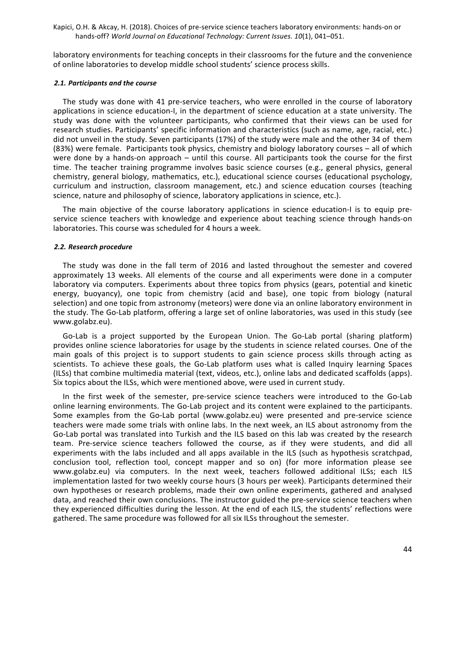laboratory environments for teaching concepts in their classrooms for the future and the convenience of online laboratories to develop middle school students' science process skills.

#### *2.1. Participants and the course*

The study was done with 41 pre-service teachers, who were enrolled in the course of laboratory applications in science education-I, in the department of science education at a state university. The study was done with the volunteer participants, who confirmed that their views can be used for research studies. Participants' specific information and characteristics (such as name, age, racial, etc.) did not unveil in the study. Seven participants (17%) of the study were male and the other 34 of them (83%) were female. Participants took physics, chemistry and biology laboratory courses - all of which were done by a hands-on approach  $-$  until this course. All participants took the course for the first time. The teacher training programme involves basic science courses (e.g., general physics, general chemistry, general biology, mathematics, etc.), educational science courses (educational psychology, curriculum and instruction, classroom management, etc.) and science education courses (teaching science, nature and philosophy of science, laboratory applications in science, etc.).

The main objective of the course laboratory applications in science education-I is to equip preservice science teachers with knowledge and experience about teaching science through hands-on laboratories. This course was scheduled for 4 hours a week.

#### *2.2. Research procedure*

The study was done in the fall term of 2016 and lasted throughout the semester and covered approximately 13 weeks. All elements of the course and all experiments were done in a computer laboratory via computers. Experiments about three topics from physics (gears, potential and kinetic energy, buoyancy), one topic from chemistry (acid and base), one topic from biology (natural selection) and one topic from astronomy (meteors) were done via an online laboratory environment in the study. The Go-Lab platform, offering a large set of online laboratories, was used in this study (see www.golabz.eu).

Go-Lab is a project supported by the European Union. The Go-Lab portal (sharing platform) provides online science laboratories for usage by the students in science related courses. One of the main goals of this project is to support students to gain science process skills through acting as scientists. To achieve these goals, the Go-Lab platform uses what is called Inquiry learning Spaces (ILSs) that combine multimedia material (text, videos, etc.), online labs and dedicated scaffolds (apps). Six topics about the ILSs, which were mentioned above, were used in current study.

In the first week of the semester, pre-service science teachers were introduced to the Go-Lab online learning environments. The Go-Lab project and its content were explained to the participants. Some examples from the Go-Lab portal (www.golabz.eu) were presented and pre-service science teachers were made some trials with online labs. In the next week, an ILS about astronomy from the Go-Lab portal was translated into Turkish and the ILS based on this lab was created by the research team. Pre-service science teachers followed the course, as if they were students, and did all experiments with the labs included and all apps available in the ILS (such as hypothesis scratchpad, conclusion tool, reflection tool, concept mapper and so on) (for more information please see www.golabz.eu) via computers. In the next week, teachers followed additional ILSs; each ILS implementation lasted for two weekly course hours (3 hours per week). Participants determined their own hypotheses or research problems, made their own online experiments, gathered and analysed data, and reached their own conclusions. The instructor guided the pre-service science teachers when they experienced difficulties during the lesson. At the end of each ILS, the students' reflections were gathered. The same procedure was followed for all six ILSs throughout the semester.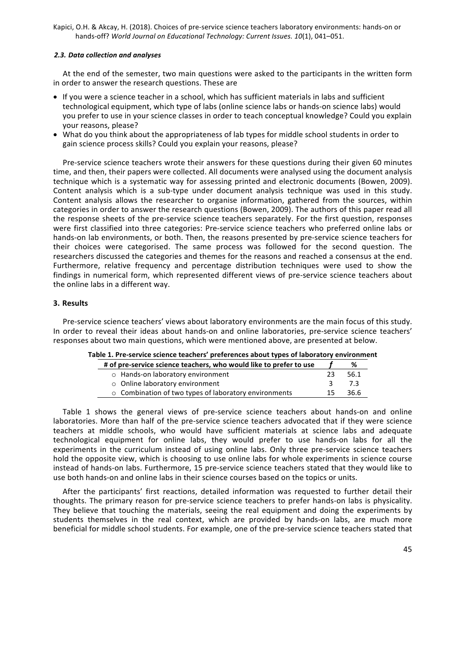# *2.3. Data collection and analyses*

At the end of the semester, two main questions were asked to the participants in the written form in order to answer the research questions. These are

- If you were a science teacher in a school, which has sufficient materials in labs and sufficient technological equipment, which type of labs (online science labs or hands-on science labs) would you prefer to use in your science classes in order to teach conceptual knowledge? Could you explain your reasons, please?
- What do you think about the appropriateness of lab types for middle school students in order to gain science process skills? Could you explain your reasons, please?

Pre-service science teachers wrote their answers for these questions during their given 60 minutes time, and then, their papers were collected. All documents were analysed using the document analysis technique which is a systematic way for assessing printed and electronic documents (Bowen, 2009). Content analysis which is a sub-type under document analysis technique was used in this study. Content analysis allows the researcher to organise information, gathered from the sources, within categories in order to answer the research questions (Bowen, 2009). The authors of this paper read all the response sheets of the pre-service science teachers separately. For the first question, responses were first classified into three categories: Pre-service science teachers who preferred online labs or hands-on lab environments, or both. Then, the reasons presented by pre-service science teachers for their choices were categorised. The same process was followed for the second question. The researchers discussed the categories and themes for the reasons and reached a consensus at the end. Furthermore, relative frequency and percentage distribution techniques were used to show the findings in numerical form, which represented different views of pre-service science teachers about the online labs in a different way.

# **3. Results**

Pre-service science teachers' views about laboratory environments are the main focus of this study. In order to reveal their ideas about hands-on and online laboratories, pre-service science teachers' responses about two main questions, which were mentioned above, are presented at below.

|  |  |  | Table 1. Pre-service science teachers' preferences about types of laboratory environment |  |  |
|--|--|--|------------------------------------------------------------------------------------------|--|--|
|  |  |  |                                                                                          |  |  |

| # of pre-service science teachers, who would like to prefer to use |    | %     |
|--------------------------------------------------------------------|----|-------|
| o Hands-on laboratory environment                                  | 23 | 56.1  |
| ○ Online laboratory environment                                    | 2  | - 73  |
| $\circ$ Combination of two types of laboratory environments        | 15 | -36.6 |
|                                                                    |    |       |

Table 1 shows the general views of pre-service science teachers about hands-on and online laboratories. More than half of the pre-service science teachers advocated that if they were science teachers at middle schools, who would have sufficient materials at science labs and adequate technological equipment for online labs, they would prefer to use hands-on labs for all the experiments in the curriculum instead of using online labs. Only three pre-service science teachers hold the opposite view, which is choosing to use online labs for whole experiments in science course instead of hands-on labs. Furthermore, 15 pre-service science teachers stated that they would like to use both hands-on and online labs in their science courses based on the topics or units.

After the participants' first reactions, detailed information was requested to further detail their thoughts. The primary reason for pre-service science teachers to prefer hands-on labs is physicality. They believe that touching the materials, seeing the real equipment and doing the experiments by students themselves in the real context, which are provided by hands-on labs, are much more beneficial for middle school students. For example, one of the pre-service science teachers stated that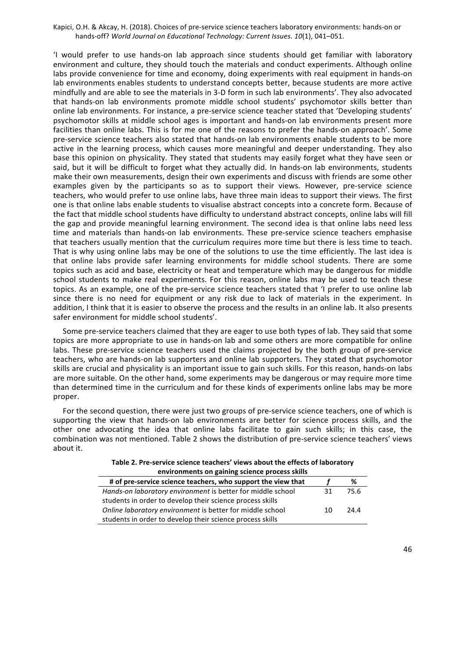'I would prefer to use hands-on lab approach since students should get familiar with laboratory environment and culture, they should touch the materials and conduct experiments. Although online labs provide convenience for time and economy, doing experiments with real equipment in hands-on lab environments enables students to understand concepts better, because students are more active mindfully and are able to see the materials in 3-D form in such lab environments'. They also advocated that hands-on lab environments promote middle school students' psychomotor skills better than online lab environments. For instance, a pre-service science teacher stated that 'Developing students' psychomotor skills at middle school ages is important and hands-on lab environments present more facilities than online labs. This is for me one of the reasons to prefer the hands-on approach'. Some pre-service science teachers also stated that hands-on lab environments enable students to be more active in the learning process, which causes more meaningful and deeper understanding. They also base this opinion on physicality. They stated that students may easily forget what they have seen or said, but it will be difficult to forget what they actually did. In hands-on lab environments, students make their own measurements, design their own experiments and discuss with friends are some other examples given by the participants so as to support their views. However, pre-service science teachers, who would prefer to use online labs, have three main ideas to support their views. The first one is that online labs enable students to visualise abstract concepts into a concrete form. Because of the fact that middle school students have difficulty to understand abstract concepts, online labs will fill the gap and provide meaningful learning environment. The second idea is that online labs need less time and materials than hands-on lab environments. These pre-service science teachers emphasise that teachers usually mention that the curriculum requires more time but there is less time to teach. That is why using online labs may be one of the solutions to use the time efficiently. The last idea is that online labs provide safer learning environments for middle school students. There are some topics such as acid and base, electricity or heat and temperature which may be dangerous for middle school students to make real experiments. For this reason, online labs may be used to teach these topics. As an example, one of the pre-service science teachers stated that 'I prefer to use online lab since there is no need for equipment or any risk due to lack of materials in the experiment. In addition, I think that it is easier to observe the process and the results in an online lab. It also presents safer environment for middle school students'.

Some pre-service teachers claimed that they are eager to use both types of lab. They said that some topics are more appropriate to use in hands-on lab and some others are more compatible for online labs. These pre-service science teachers used the claims projected by the both group of pre-service teachers, who are hands-on lab supporters and online lab supporters. They stated that psychomotor skills are crucial and physicality is an important issue to gain such skills. For this reason, hands-on labs are more suitable. On the other hand, some experiments may be dangerous or may require more time than determined time in the curriculum and for these kinds of experiments online labs may be more proper.

For the second question, there were just two groups of pre-service science teachers, one of which is supporting the view that hands-on lab environments are better for science process skills, and the other one advocating the idea that online labs facilitate to gain such skills; in this case, the combination was not mentioned. Table 2 shows the distribution of pre-service science teachers' views about it.

> Table 2. Pre-service science teachers' views about the effects of laboratory **ments on gaining science**

| environments on gaining science process skills               |    |      |  |  |  |
|--------------------------------------------------------------|----|------|--|--|--|
| # of pre-service science teachers, who support the view that |    | %    |  |  |  |
| Hands-on laboratory environment is better for middle school  | 31 | 75.6 |  |  |  |
| students in order to develop their science process skills    |    |      |  |  |  |
| Online laboratory environment is better for middle school    | 10 | 24 A |  |  |  |
| students in order to develop their science process skills    |    |      |  |  |  |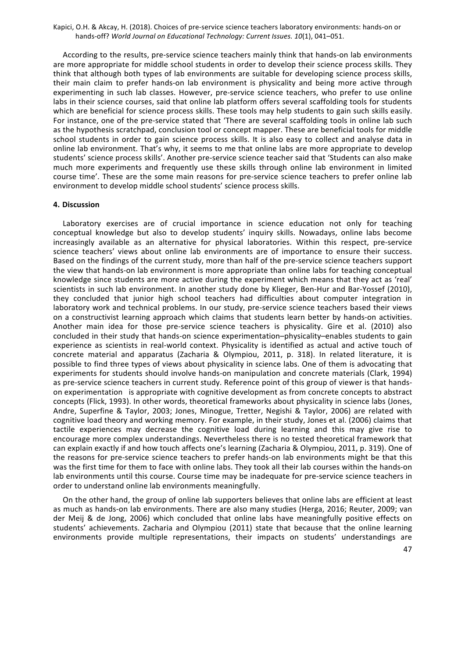According to the results, pre-service science teachers mainly think that hands-on lab environments are more appropriate for middle school students in order to develop their science process skills. They think that although both types of lab environments are suitable for developing science process skills, their main claim to prefer hands-on lab environment is physicality and being more active through experimenting in such lab classes. However, pre-service science teachers, who prefer to use online labs in their science courses, said that online lab platform offers several scaffolding tools for students which are beneficial for science process skills. These tools may help students to gain such skills easily. For instance, one of the pre-service stated that 'There are several scaffolding tools in online lab such as the hypothesis scratchpad, conclusion tool or concept mapper. These are beneficial tools for middle school students in order to gain science process skills. It is also easy to collect and analyse data in online lab environment. That's why, it seems to me that online labs are more appropriate to develop students' science process skills'. Another pre-service science teacher said that 'Students can also make much more experiments and frequently use these skills through online lab environment in limited course time'. These are the some main reasons for pre-service science teachers to prefer online lab environment to develop middle school students' science process skills.

#### **4. Discussion**

Laboratory exercises are of crucial importance in science education not only for teaching conceptual knowledge but also to develop students' inquiry skills. Nowadays, online labs become increasingly available as an alternative for physical laboratories. Within this respect, pre-service science teachers' views about online lab environments are of importance to ensure their success. Based on the findings of the current study, more than half of the pre-service science teachers support the view that hands-on lab environment is more appropriate than online labs for teaching conceptual knowledge since students are more active during the experiment which means that they act as 'real' scientists in such lab environment. In another study done by Klieger, Ben-Hur and Bar-Yossef (2010), they concluded that junior high school teachers had difficulties about computer integration in laboratory work and technical problems. In our study, pre-service science teachers based their views on a constructivist learning approach which claims that students learn better by hands-on activities. Another main idea for those pre-service science teachers is physicality. Gire et al. (2010) also concluded in their study that hands-on science experimentation-physicality-enables students to gain experience as scientists in real-world context. Physicality is identified as actual and active touch of concrete material and apparatus (Zacharia & Olympiou, 2011, p. 318). In related literature, it is possible to find three types of views about physicality in science labs. One of them is advocating that experiments for students should involve hands-on manipulation and concrete materials (Clark, 1994) as pre-service science teachers in current study. Reference point of this group of viewer is that handson experimentation is appropriate with cognitive development as from concrete concepts to abstract concepts (Flick, 1993). In other words, theoretical frameworks about physicality in science labs (Jones, Andre, Superfine & Taylor, 2003; Jones, Minogue, Tretter, Negishi & Taylor, 2006) are related with cognitive load theory and working memory. For example, in their study, Jones et al. (2006) claims that tactile experiences may decrease the cognitive load during learning and this may give rise to encourage more complex understandings. Nevertheless there is no tested theoretical framework that can explain exactly if and how touch affects one's learning (Zacharia & Olympiou, 2011, p. 319). One of the reasons for pre-service science teachers to prefer hands-on lab environments might be that this was the first time for them to face with online labs. They took all their lab courses within the hands-on lab environments until this course. Course time may be inadequate for pre-service science teachers in order to understand online lab environments meaningfully.

On the other hand, the group of online lab supporters believes that online labs are efficient at least as much as hands-on lab environments. There are also many studies (Herga, 2016; Reuter, 2009; van der Meij & de Jong, 2006) which concluded that online labs have meaningfully positive effects on students' achievements. Zacharia and Olympiou (2011) state that because that the online learning environments provide multiple representations, their impacts on students' understandings are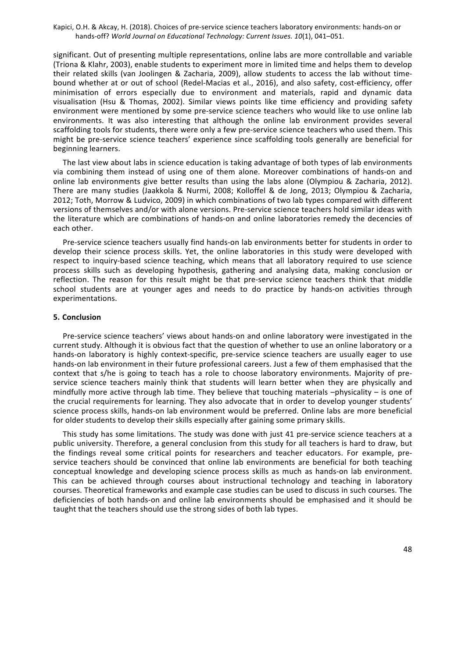significant. Out of presenting multiple representations, online labs are more controllable and variable (Triona & Klahr, 2003), enable students to experiment more in limited time and helps them to develop their related skills (van Joolingen & Zacharia, 2009), allow students to access the lab without timebound whether at or out of school (Redel-Macias et al., 2016), and also safety, cost-efficiency, offer minimisation of errors especially due to environment and materials, rapid and dynamic data visualisation (Hsu & Thomas, 2002). Similar views points like time efficiency and providing safety environment were mentioned by some pre-service science teachers who would like to use online lab environments. It was also interesting that although the online lab environment provides several scaffolding tools for students, there were only a few pre-service science teachers who used them. This might be pre-service science teachers' experience since scaffolding tools generally are beneficial for beginning learners.

The last view about labs in science education is taking advantage of both types of lab environments via combining them instead of using one of them alone. Moreover combinations of hands-on and online lab environments give better results than using the labs alone (Olympiou & Zacharia, 2012). There are many studies (Jaakkola & Nurmi, 2008; Kolloffel & de Jong, 2013; Olympiou & Zacharia, 2012; Toth, Morrow & Ludvico, 2009) in which combinations of two lab types compared with different versions of themselves and/or with alone versions. Pre-service science teachers hold similar ideas with the literature which are combinations of hands-on and online laboratories remedy the decencies of each other.

Pre-service science teachers usually find hands-on lab environments better for students in order to develop their science process skills. Yet, the online laboratories in this study were developed with respect to inquiry-based science teaching, which means that all laboratory required to use science process skills such as developing hypothesis, gathering and analysing data, making conclusion or reflection. The reason for this result might be that pre-service science teachers think that middle school students are at younger ages and needs to do practice by hands-on activities through experimentations.

#### **5. Conclusion**

Pre-service science teachers' views about hands-on and online laboratory were investigated in the current study. Although it is obvious fact that the question of whether to use an online laboratory or a hands-on laboratory is highly context-specific, pre-service science teachers are usually eager to use hands-on lab environment in their future professional careers. Just a few of them emphasised that the context that s/he is going to teach has a role to choose laboratory environments. Majority of preservice science teachers mainly think that students will learn better when they are physically and mindfully more active through lab time. They believe that touching materials  $-p$ hysicality – is one of the crucial requirements for learning. They also advocate that in order to develop younger students' science process skills, hands-on lab environment would be preferred. Online labs are more beneficial for older students to develop their skills especially after gaining some primary skills.

This study has some limitations. The study was done with just 41 pre-service science teachers at a public university. Therefore, a general conclusion from this study for all teachers is hard to draw, but the findings reveal some critical points for researchers and teacher educators. For example, preservice teachers should be convinced that online lab environments are beneficial for both teaching conceptual knowledge and developing science process skills as much as hands-on lab environment. This can be achieved through courses about instructional technology and teaching in laboratory courses. Theoretical frameworks and example case studies can be used to discuss in such courses. The deficiencies of both hands-on and online lab environments should be emphasised and it should be taught that the teachers should use the strong sides of both lab types.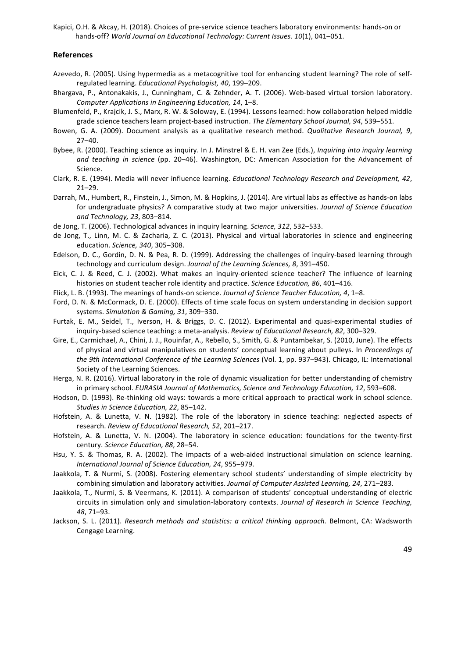#### **References**

- Azevedo, R. (2005). Using hypermedia as a metacognitive tool for enhancing student learning? The role of selfregulated learning. *Educational Psychologist, 40*, 199-209.
- Bhargava, P., Antonakakis, J., Cunningham, C. & Zehnder, A. T. (2006). Web-based virtual torsion laboratory. *Computer Applications in Engineering Education, 14, 1–8.*
- Blumenfeld, P., Krajcik, J. S., Marx, R. W. & Soloway, E. (1994). Lessons learned: how collaboration helped middle grade science teachers learn project-based instruction. The Elementary School Journal, 94, 539–551.
- Bowen, G. A. (2009). Document analysis as a qualitative research method. *Qualitative Research Journal, 9*, 27–40.
- Bybee, R. (2000). Teaching science as inquiry. In J. Minstrel & E. H. van Zee (Eds.), *Inquiring into inquiry learning and teaching in science* (pp. 20–46). Washington, DC: American Association for the Advancement of Science.
- Clark, R. E. (1994). Media will never influence learning. *Educational Technology Research and Development, 42*, 21–29.
- Darrah, M., Humbert, R., Finstein, J., Simon, M. & Hopkins, J. (2014). Are virtual labs as effective as hands-on labs for undergraduate physics? A comparative study at two major universities. *Journal of Science Education and Technology, 23*, 803–814.
- de Jong, T. (2006). Technological advances in inquiry learning. *Science, 312*, 532–533.
- de Jong, T., Linn, M. C. & Zacharia, Z. C. (2013). Physical and virtual laboratories in science and engineering education. *Science, 340*, 305–308.
- Edelson, D. C., Gordin, D. N. & Pea, R. D. (1999). Addressing the challenges of inquiry-based learning through technology and curriculum design. *Journal of the Learning Sciences, 8*, 391–450.
- Eick, C. J. & Reed, C. J. (2002). What makes an inquiry-oriented science teacher? The influence of learning histories on student teacher role identity and practice. *Science Education, 86, 401-416*.
- Flick, L. B. (1993). The meanings of hands-on science. *Journal of Science Teacher Education, 4*, 1–8.
- Ford, D. N. & McCormack, D. E. (2000). Effects of time scale focus on system understanding in decision support systems. Simulation & Gaming, 31, 309-330.
- Furtak, E. M., Seidel, T., Iverson, H. & Briggs, D. C. (2012). Experimental and quasi-experimental studies of inquiry-based science teaching: a meta-analysis. Review of Educational Research, 82, 300-329.
- Gire, E., Carmichael, A., Chini, J. J., Rouinfar, A., Rebello, S., Smith, G. & Puntambekar, S. (2010, June). The effects of physical and virtual manipulatives on students' conceptual learning about pulleys. In *Proceedings of the 9th International Conference of the Learning Sciences* (Vol. 1, pp. 937–943). Chicago, IL: International Society of the Learning Sciences.
- Herga, N. R. (2016). Virtual laboratory in the role of dynamic visualization for better understanding of chemistry in primary school. *EURASIA Journal of Mathematics, Science and Technology Education, 12, 593-608*.
- Hodson, D. (1993). Re-thinking old ways: towards a more critical approach to practical work in school science. Studies in Science Education, 22, 85-142.
- Hofstein, A. & Lunetta, V. N. (1982). The role of the laboratory in science teaching: neglected aspects of research. *Review of Educational Research, 52, 201-217.*
- Hofstein, A. & Lunetta, V. N. (2004). The laboratory in science education: foundations for the twenty-first century. *Science Education, 88*, 28–54.
- Hsu, Y. S. & Thomas, R. A. (2002). The impacts of a web-aided instructional simulation on science learning. *International Journal of Science Education, 24*, 955–979.
- Jaakkola, T. & Nurmi, S. (2008). Fostering elementary school students' understanding of simple electricity by combining simulation and laboratory activities. *Journal of Computer Assisted Learning, 24, 271–283.*
- Jaakkola, T., Nurmi, S. & Veermans, K. (2011). A comparison of students' conceptual understanding of electric circuits in simulation only and simulation-laboratory contexts. *Journal of Research in Science Teaching*, *48*, 71–93.
- Jackson, S. L. (2011). *Research methods and statistics: a critical thinking approach.* Belmont, CA: Wadsworth Cengage Learning.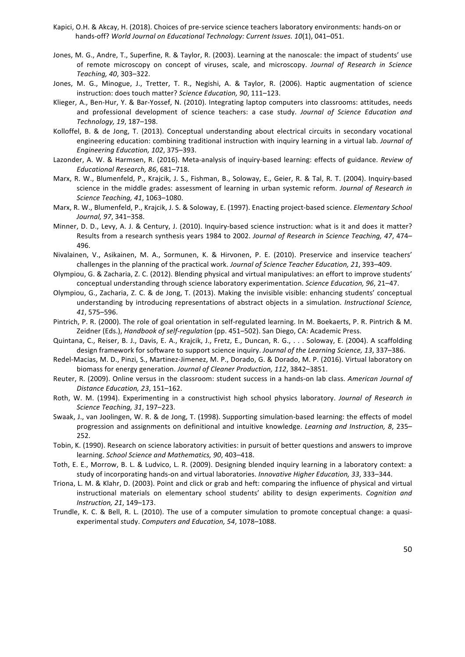- Kapici, O.H. & Akcay, H. (2018). Choices of pre-service science teachers laboratory environments: hands-on or hands-off? World Journal on Educational Technology: Current Issues. 10(1), 041-051.
- Jones, M. G., Andre, T., Superfine, R. & Taylor, R. (2003). Learning at the nanoscale: the impact of students' use of remote microscopy on concept of viruses, scale, and microscopy. *Journal of Research in Science Teaching, 40*, 303–322.
- Jones, M. G., Minogue, J., Tretter, T. R., Negishi, A. & Taylor, R. (2006). Haptic augmentation of science instruction: does touch matter? *Science Education, 90*, 111–123.
- Klieger, A., Ben-Hur, Y. & Bar-Yossef, N. (2010). Integrating laptop computers into classrooms: attitudes, needs and professional development of science teachers: a case study. *Journal of Science Education and Technology, 19*, 187–198.
- Kolloffel, B. & de Jong, T. (2013). Conceptual understanding about electrical circuits in secondary vocational engineering education: combining traditional instruction with inquiry learning in a virtual lab. *Journal of Engineering Education, 102*, 375–393.
- Lazonder, A. W. & Harmsen, R. (2016). Meta-analysis of inquiry-based learning: effects of guidance. *Review of Educational Research, 86*, 681–718.
- Marx, R. W., Blumenfeld, P., Krajcik, J. S., Fishman, B., Soloway, E., Geier, R. & Tal, R. T. (2004). Inquiry-based science in the middle grades: assessment of learning in urban systemic reform. *Journal of Research in Science Teaching, 41*, 1063–1080.
- Marx, R. W., Blumenfeld, P., Krajcik, J. S. & Soloway, E. (1997). Enacting project-based science. *Elementary School Journal, 97*, 341–358.
- Minner, D. D., Levy, A. J. & Century, J. (2010). Inquiry-based science instruction: what is it and does it matter? Results from a research synthesis years 1984 to 2002. Journal of Research in Science Teaching, 47, 474– 496.
- Nivalainen, V., Asikainen, M. A., Sormunen, K. & Hirvonen, P. E. (2010). Preservice and inservice teachers' challenges in the planning of the practical work. *Journal of Science Teacher Education*, 21, 393–409.
- Olympiou, G. & Zacharia, Z. C. (2012). Blending physical and virtual manipulatives: an effort to improve students' conceptual understanding through science laboratory experimentation. *Science Education, 96*, 21–47.
- Olympiou, G., Zacharia, Z. C. & de Jong, T. (2013). Making the invisible visible: enhancing students' conceptual understanding by introducing representations of abstract objects in a simulation. *Instructional Science*, *41*, 575–596.
- Pintrich, P. R. (2000). The role of goal orientation in self-regulated learning. In M. Boekaerts, P. R. Pintrich & M. Zeidner (Eds.), *Handbook of self-regulation* (pp. 451–502). San Diego, CA: Academic Press.
- Quintana, C., Reiser, B. J., Davis, E. A., Krajcik, J., Fretz, E., Duncan, R. G., ... Soloway, E. (2004). A scaffolding design framework for software to support science inquiry. *Journal of the Learning Science, 13*, 337–386.
- Redel-Macias, M. D., Pinzi, S., Martinez-Jimenez, M. P., Dorado, G. & Dorado, M. P. (2016). Virtual laboratory on biomass for energy generation. *Journal of Cleaner Production, 112*, 3842–3851.
- Reuter, R. (2009). Online versus in the classroom: student success in a hands-on lab class. American Journal of *Distance Education, 23*, 151–162.
- Roth, W. M. (1994). Experimenting in a constructivist high school physics laboratory. *Journal of Research in Science Teaching, 31*, 197–223.
- Swaak, J., van Joolingen, W. R. & de Jong, T. (1998). Supporting simulation-based learning: the effects of model progression and assignments on definitional and intuitive knowledge. *Learning and Instruction, 8*, 235– 252.
- Tobin, K. (1990). Research on science laboratory activities: in pursuit of better questions and answers to improve learning. School Science and Mathematics, 90, 403-418.
- Toth, E. E., Morrow, B. L. & Ludvico, L. R. (2009). Designing blended inquiry learning in a laboratory context: a study of incorporating hands-on and virtual laboratories. *Innovative Higher Education, 33*, 333–344.
- Triona, L. M. & Klahr, D. (2003). Point and click or grab and heft: comparing the influence of physical and virtual instructional materials on elementary school students' ability to design experiments. *Cognition and Instruction, 21*, 149–173.
- Trundle, K. C. & Bell, R. L. (2010). The use of a computer simulation to promote conceptual change: a quasiexperimental study. *Computers and Education, 54*, 1078-1088.